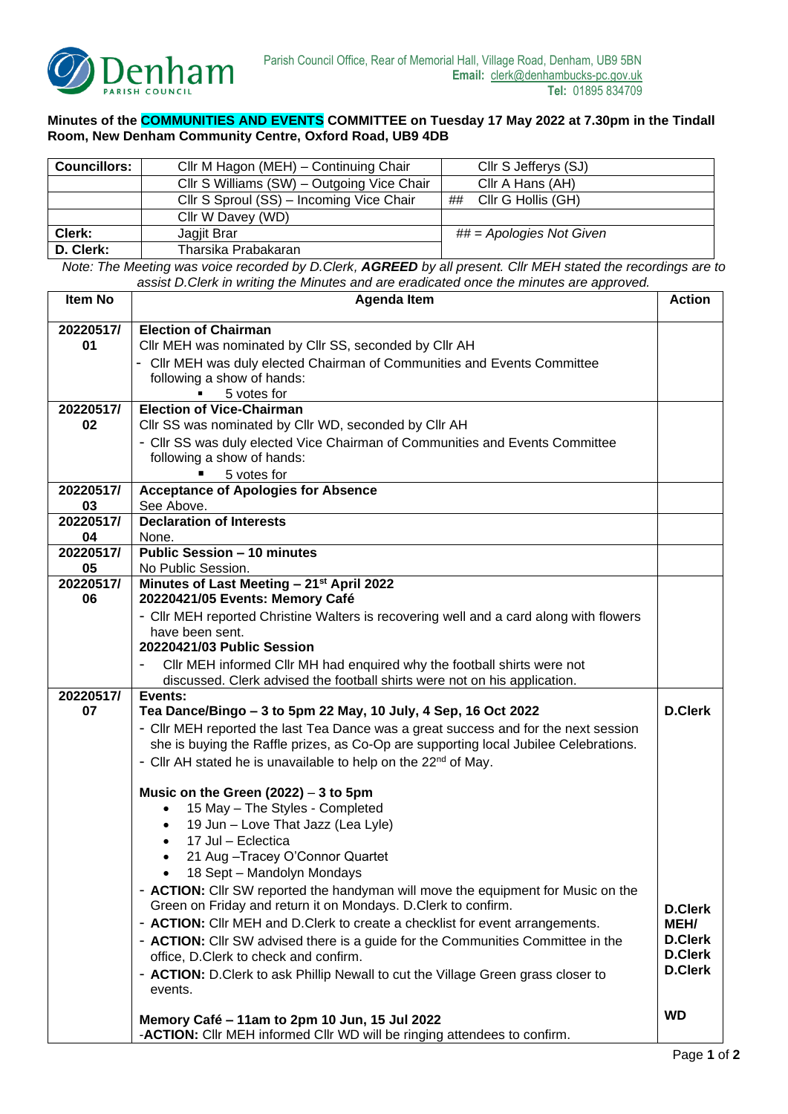

## **Minutes of the COMMUNITIES AND EVENTS COMMITTEE on Tuesday 17 May 2022 at 7.30pm in the Tindall Room, New Denham Community Centre, Oxford Road, UB9 4DB**

| <b>Councillors:</b> | Cllr M Hagon (MEH) - Continuing Chair      | Cllr S Jefferys (SJ)       |  |
|---------------------|--------------------------------------------|----------------------------|--|
|                     | Cllr S Williams (SW) - Outgoing Vice Chair | Cllr A Hans (AH)           |  |
|                     | Cllr S Sproul (SS) - Incoming Vice Chair   | ## Cllr G Hollis (GH)      |  |
|                     | Cllr W Davey (WD)                          |                            |  |
| Clerk:              | Jagjit Brar                                | $\#$ = Apologies Not Given |  |
| D. Clerk:           | Tharsika Prabakaran                        |                            |  |

*Note: The Meeting was voice recorded by D.Clerk, AGREED by all present. Cllr MEH stated the recordings are to assist D.Clerk in writing the Minutes and are eradicated once the minutes are approved.*

| <b>Item No</b>  | <b>Agenda Item</b>                                                                      |                                  |  |
|-----------------|-----------------------------------------------------------------------------------------|----------------------------------|--|
| 20220517/       | <b>Election of Chairman</b>                                                             |                                  |  |
| 01              | Cllr MEH was nominated by Cllr SS, seconded by Cllr AH                                  |                                  |  |
|                 | - Cllr MEH was duly elected Chairman of Communities and Events Committee                |                                  |  |
|                 | following a show of hands:                                                              |                                  |  |
|                 | 5 votes for                                                                             |                                  |  |
| 20220517/       | <b>Election of Vice-Chairman</b>                                                        |                                  |  |
| 02              | Cllr SS was nominated by Cllr WD, seconded by Cllr AH                                   |                                  |  |
|                 | - Cllr SS was duly elected Vice Chairman of Communities and Events Committee            |                                  |  |
|                 | following a show of hands:                                                              |                                  |  |
|                 | 5 votes for                                                                             |                                  |  |
| 20220517/<br>03 | <b>Acceptance of Apologies for Absence</b><br>See Above.                                |                                  |  |
| 20220517/       | <b>Declaration of Interests</b>                                                         |                                  |  |
| 04              | None.                                                                                   |                                  |  |
| 20220517/       | <b>Public Session - 10 minutes</b>                                                      |                                  |  |
| 05              | No Public Session.                                                                      |                                  |  |
| 20220517/       | Minutes of Last Meeting - 21 <sup>st</sup> April 2022                                   |                                  |  |
| 06              | 20220421/05 Events: Memory Café                                                         |                                  |  |
|                 | - Cllr MEH reported Christine Walters is recovering well and a card along with flowers  |                                  |  |
|                 | have been sent.                                                                         |                                  |  |
|                 | 20220421/03 Public Session                                                              |                                  |  |
|                 | CIIr MEH informed CIIr MH had enquired why the football shirts were not                 |                                  |  |
| 20220517/       | discussed. Clerk advised the football shirts were not on his application.               |                                  |  |
| 07              | Events:<br>Tea Dance/Bingo - 3 to 5pm 22 May, 10 July, 4 Sep, 16 Oct 2022               | <b>D.Clerk</b>                   |  |
|                 | - Cllr MEH reported the last Tea Dance was a great success and for the next session     |                                  |  |
|                 | she is buying the Raffle prizes, as Co-Op are supporting local Jubilee Celebrations.    |                                  |  |
|                 | - Cllr AH stated he is unavailable to help on the 22 <sup>nd</sup> of May.              |                                  |  |
|                 |                                                                                         |                                  |  |
|                 | Music on the Green $(2022) - 3$ to 5pm                                                  |                                  |  |
|                 | 15 May - The Styles - Completed                                                         |                                  |  |
|                 | 19 Jun - Love That Jazz (Lea Lyle)<br>$\bullet$                                         |                                  |  |
|                 | 17 Jul - Eclectica<br>$\bullet$                                                         |                                  |  |
|                 | 21 Aug - Tracey O'Connor Quartet                                                        |                                  |  |
|                 | 18 Sept - Mandolyn Mondays                                                              |                                  |  |
|                 | - <b>ACTION:</b> Cllr SW reported the handyman will move the equipment for Music on the |                                  |  |
|                 | Green on Friday and return it on Mondays. D.Clerk to confirm.                           | <b>D.Clerk</b>                   |  |
|                 | - ACTION: Cllr MEH and D.Clerk to create a checklist for event arrangements.            | MEH/                             |  |
|                 | - ACTION: Cllr SW advised there is a guide for the Communities Committee in the         | <b>D.Clerk</b>                   |  |
|                 | office, D.Clerk to check and confirm.                                                   | <b>D.Clerk</b><br><b>D.Clerk</b> |  |
|                 | - ACTION: D.Clerk to ask Phillip Newall to cut the Village Green grass closer to        |                                  |  |
|                 | events.                                                                                 |                                  |  |
|                 | Memory Café - 11am to 2pm 10 Jun, 15 Jul 2022                                           | <b>WD</b>                        |  |
|                 | -ACTION: Cllr MEH informed Cllr WD will be ringing attendees to confirm.                |                                  |  |
|                 |                                                                                         |                                  |  |